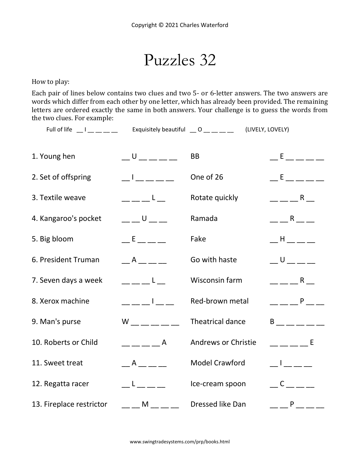Puzzles 32

How to play:

Each pair of lines below contains two clues and two 5- or 6-letter answers. The two answers are words which differ from each other by one letter, which has already been provided. The remaining letters are ordered exactly the same in both answers. Your challenge is to guess the words from the two clues. For example:

Full of life l exquisitely beautiful \_\_ O \_\_\_ \_\_\_ \_\_ (LIVELY, LOVELY)

| 1. Young hen             | $-0$ $   -$                                    | <b>BB</b>                  | $E = E$ , and $E = E$ and $E = E$                                                                                            |
|--------------------------|------------------------------------------------|----------------------------|------------------------------------------------------------------------------------------------------------------------------|
| 2. Set of offspring      | <b>Contract Contract</b>                       | One of 26                  | <b>Experience</b>                                                                                                            |
| 3. Textile weave         | $-1$                                           | Rotate quickly             | $   R$ $-$                                                                                                                   |
| 4. Kangaroo's pocket     | $  0$ $ -$                                     | Ramada                     | $ -$ R $ -$                                                                                                                  |
| 5. Big bloom             | $E$ and $E$ and $E$                            | Fake                       | $   -$                                                                                                                       |
| 6. President Truman      | $\overline{A}$                                 | Go with haste              | $-0$ $ -$                                                                                                                    |
| 7. Seven days a week     | $\mathbf{L}$ and $\mathbf{L}$ and $\mathbf{L}$ | Wisconsin farm             | $   R$ $-$                                                                                                                   |
| 8. Xerox machine         | $     -$                                       | Red-brown metal            | $--- P$ ___                                                                                                                  |
| 9. Man's purse           | $W$ _ _ _ _ _                                  | Theatrical dance           | $B$ __ _ _ _ _                                                                                                               |
| 10. Roberts or Child     | $=$ $    A$                                    | <b>Andrews or Christie</b> | <b>Experience E</b>                                                                                                          |
| 11. Sweet treat          | A                                              | <b>Model Crawford</b>      | $\begin{array}{c} \begin{array}{c} \end{array} \end{array}$                                                                  |
| 12. Regatta racer        | $\mathsf{L}$ and $\mathsf{L}$                  | Ice-cream spoon            | $C$ <sub>---</sub> -                                                                                                         |
| 13. Fireplace restrictor | $  M$                                          | Dressed like Dan           | $\overline{\phantom{a}}$ $\overline{\phantom{a}}$ $\overline{\phantom{a}}$ $\overline{\phantom{a}}$ $\overline{\phantom{a}}$ |